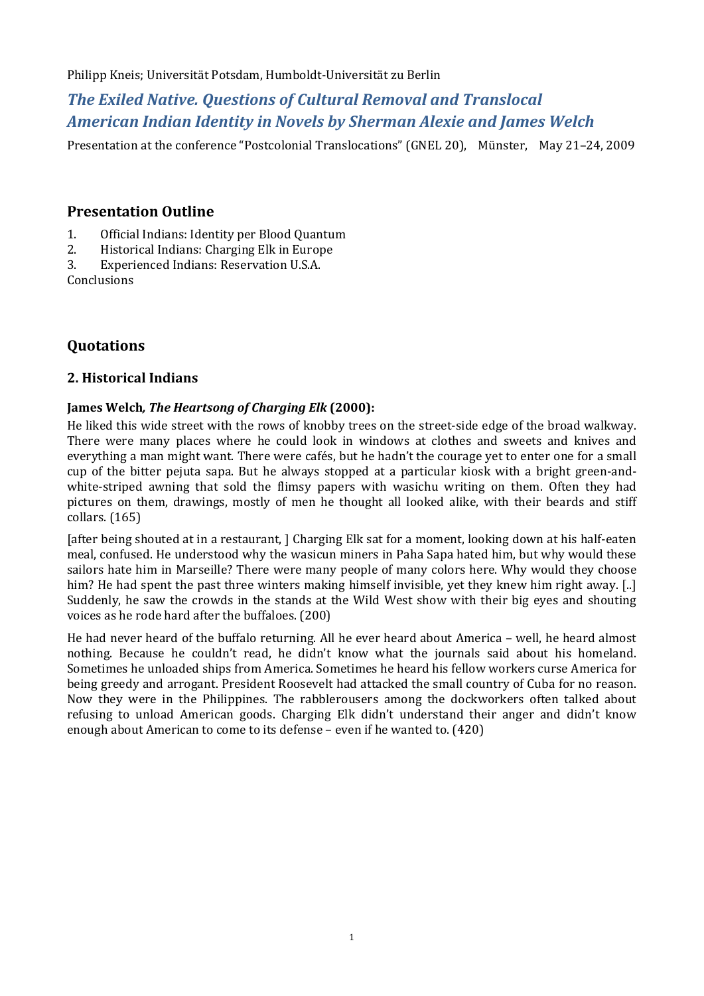Philipp Kneis; Universität Potsdam, Humboldt-Universität zu Berlin

*The Exiled Native. Questions of Cultural Removal and Translocal American Indian Identity in Novels by Sherman Alexie and James Welch* 

Presentation at the conference "Postcolonial Translocations" (GNEL 20), Münster, May 21–24, 2009

## **Presentation Outline**

- 1. Official Indians: Identity per Blood Quant um
- 2. Historical Indians: Charging Elk in Europe
- 3. Experienced Indians: Reservation U.S.A.

Conclusions

# **Quotations**

## **2. Historical Indians**

### **James Welch***, The Heartsong of Charging Elk* **(2000):**

He liked this wide street with the rows of knobby trees on the street-side edge of the broad walkway. There were many places where he could look in windows at clothes and sweets and knives and everything a man might want. There were cafés, but he hadn't the courage yet to enter one for a small cup of the bitter pejuta sapa. But he always stopped at a particular kiosk with a bright green-andwhite-striped awning that sold the flimsy papers with wasichu writing on them. Often they had pictures on them, drawings, mostly of men he thought all looked alike, with their beards and stiff collars. (165)

[after being shouted at in a restaurant, ] Charging Elk sat for a moment, looking down at his half-eaten meal, confused. He understood why the wasicun miners in Paha Sapa hated him, but why would these sailors hate him in Marseille? There were many people of many colors here. Why would they choose him? He had spent the past three winters making himself invisible, yet they knew him right away. [..] Suddenly, he saw the crowds in the stands at the Wild West show with their big eyes and shouting voices as he rode hard after the buffaloes. (200)

He had never heard of the buffalo returning. All he ever heard about America – well, he heard almost nothing. Because he couldn't read, he didn't know what the journals said about his homeland. Sometimes he unloaded ships from America. Sometimes he heard his fellow workers curse America for being greedy and arrogant. President Roosevelt had attacked the small country of Cuba for no reason. Now they were in the Philippines. The rabblerousers among the dockworkers often talked about refusing to unload American goods. Charging Elk didn't understand their anger and didn't know enough about American to come to its defense – even if he wanted to. (420)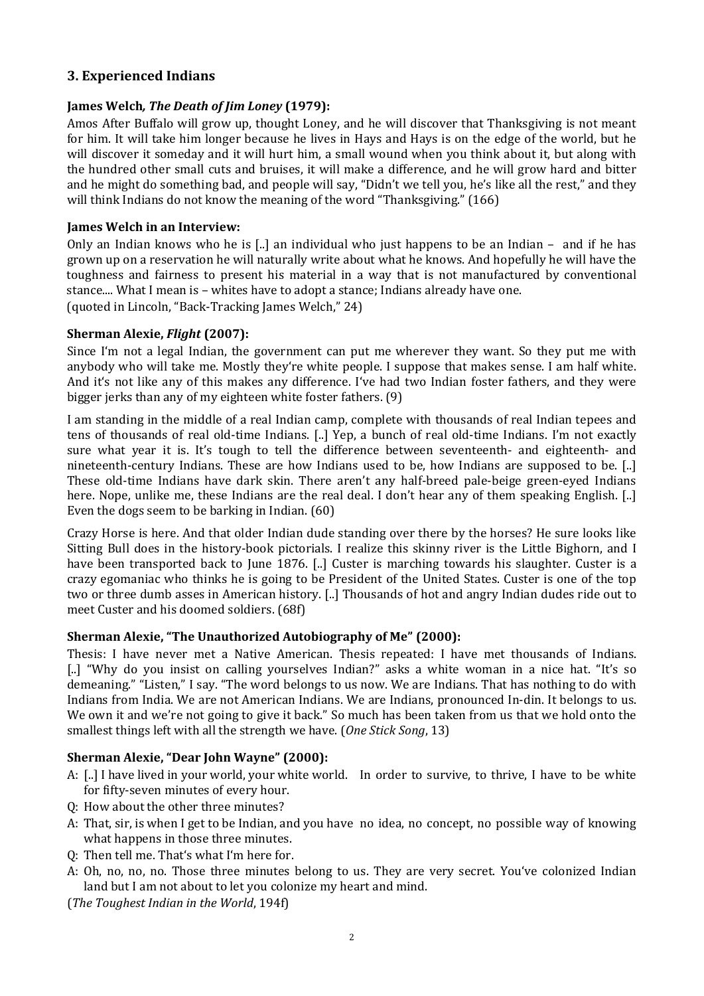## **3. Experienced Indians**

### **James Welch***, The Death of Jim Loney* **(1979):**

Amos After Buffalo will grow up, thought Loney, and he will discover that Thanksgiving is not meant for him. It will take him longer because he lives in Hays and Hays is on the edge of the world, but he will discover it someday and it will hurt him, a small wound when you think about it, but along with the hundred other small cuts and bruises, it will make a difference, and he will grow hard and bitter and he might do something bad, and people will say, "Didn't we tell you, he's like all the rest," and they will think Indians do not know the meaning of the word "Thanksgiving." (166)

#### **James Welch in an Interview:**

Only an Indian knows who he is [..] an individual who just happens to be an Indian – and if he has grown up on a reservation he will naturally write about what he knows. And hopefully he will have the toughness and fairness to present his material in a way that is not manufactured by conventional stance.... What I mean is - whites have to adopt a stance; Indians already have one.

(quoted in Lincoln, "Back-Tracking James Welch," 24)

#### **Sherman Alexie,** *Flight* **(2007):**

Since I'm not a legal Indian, the government can put me wherever they want. So they put me with anybody who will take me. Mostly they're white people. I suppose that makes sense. I am half white. And it's not like any of this makes any difference. I've had two Indian foster fathers, and they were bigger jerks than any of my eighteen white foster fathers. (9)

I am standing in the middle of a real Indian camp, complete with thousands of real Indian tepees and tens of thousands of real old-time Indians. [..] Yep, a bunch of real old-time Indians. I'm not exactly sure what year it is. It's tough to tell the difference between seventeenth- and eighteenth- and nineteenth-century Indians. These are how Indians used to be, how Indians are supposed to be. [..] These old-time Indians have dark skin. There aren't any half-breed pale-beige green-eyed Indians here. Nope, unlike me, these Indians are the real deal. I don't hear any of them speaking English. [..] Even the dogs seem to be barking in Indian. (60)

Crazy Horse is here. And that older Indian dude standing over there by the horses? He sure looks like Sitting Bull does in the history-book pictorials. I realize this skinny river is the Little Bighorn, and I have been transported back to June 1876. [..] Custer is marching towards his slaughter. Custer is a crazy egomaniac who thinks he is going to be President of the United States. Custer is one of the top two or three dumb asses in American history. [..] Thousands of hot and angry Indian dudes ride out to meet Custer and his doomed soldiers. (68f)

#### **Sherman Alexie, "The Unauthorized Autobiography of Me" (2000):**

Thesis: I have never met a Native American. Thesis repeated: I have met thousands of Indians. [..] "Why do you insist on calling yourselves Indian?" asks a white woman in a nice hat. "It's so demeaning." "Listen," I say. "The word belongs to us now. We are Indians. That has nothing to do with Indians from India. We are not American Indians. We are Indians, pronounced In-din. It belongs to us. We own it and we're not going to give it back." So much has been taken from us that we hold onto the smallest things left with all the strength we have. (*One Stick Song*, 13)

### **Sherman Alexie, "Dear John Wayne" (2000):**

- A: [..] I have lived in your world, your white world. In order to survive, to thrive, I have to be white for fifty-seven minutes of every hour.
- Q: How about the other three minutes?
- A: That, sir, is when I get to be Indian, and you have no idea, no concept, no possible way of knowing what happens in those three minutes.
- Q: Then tell me. That's what I'm here for.
- A: Oh, no, no, no. Those three minutes belong to us. They are very secret. You've colonized Indian land but I am not about to let you colonize my heart and mind.

(*The Toughest Indian in the World*, 194f)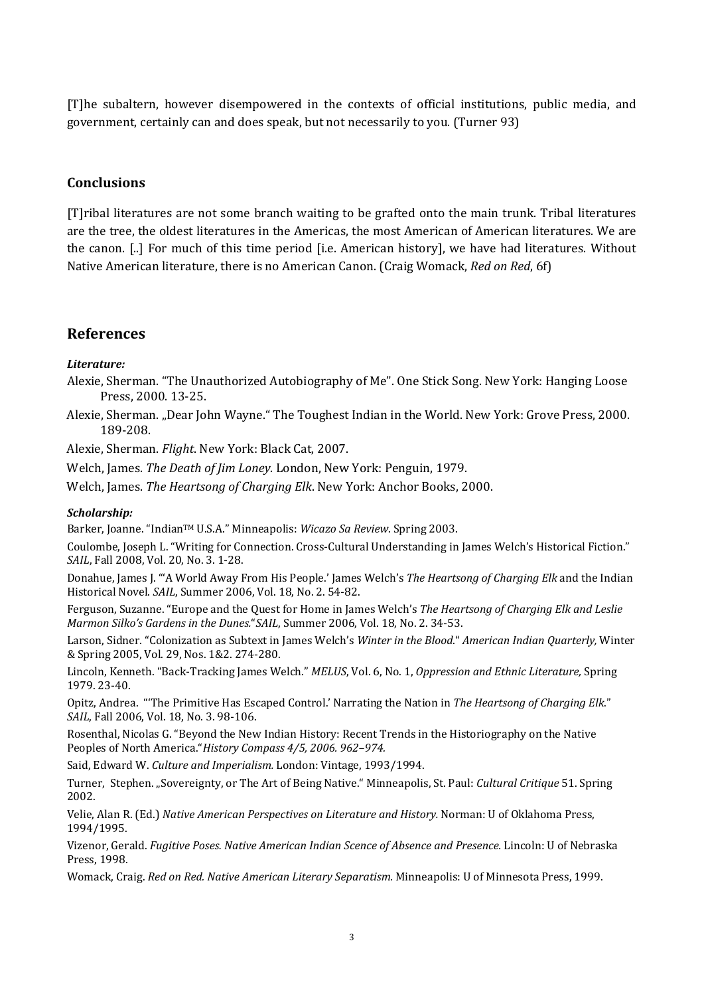[T]he subaltern, however disempowered in the contexts of official institutions, public media, and government, certainly can and does speak, but not necessarily to you. (Turner 93)

### **Conclusions**

[T]ribal literatures are not some branch waiting to be grafted onto the main trunk. Tribal literatures are the tree, the oldest literatures in the Americas, the most American of American literatures. We are the canon. [..] For much of this time period [i.e. American history], we have had literatures. Without Native American literature, there is no American Canon. (Craig Womack, *Red on Red*, 6f)

## **References**

#### *Literature:*

Alexie, Sherman. "The Unauthorized Autobiography of Me". One Stick Song. New York: Hanging Loose Press, 2000. 13-25.

Alexie, Sherman. "Dear John Wayne." The Toughest Indian in the World. New York: Grove Press, 2000. 189-208.

Alexie, Sherman. *Flight*. New York: Black Cat, 2007.

Welch, James. *The Death of Jim Loney.* London, New York: Penguin, 1979.

Welch, James. *The Heartsong of Charging Elk*. New York: Anchor Books, 2000.

#### *Scholarship:*

Barker, Joanne. "IndianTM U.S.A." Minneapolis: *Wicazo Sa Review*. Spring 2003.

Coulombe, Joseph L. "Writing for Connection. Cross-Cultural Understanding in James Welch's Historical Fiction." *SAIL*, Fall 2008, Vol. 20, No. 3. 1-28.

Donahue, James J. "'A World Away From His People.' James Welch's *The Heartsong of Charging Elk* and the Indian Historical Novel. *SAIL*, Summer 2006, Vol. 18, No. 2. 54-82.

Ferguson, Suzanne. "Europe and the Quest for Home in James Welch's The Heartsong of Charging Elk and Leslie Marmon Silko's Gardens in the Dunes."SAIL, Summer 2006, Vol. 18, No. 2. 34-53.

Larson, Sidner. "Colonization as Subtext in James Welch's Winter in the Blood." *American Indian Quarterly*, Winter & Spring 2005, Vol. 29, Nos. 1&2. 274-280.

Lincoln, Kenneth. "Back-Tracking James Welch." *MELUS*, Vol. 6, No. 1, *Oppression and Ethnic Literature*, Spring 1979. 23-40.

Opitz, Andrea. "'The Primitive Has Escaped Control.' Narrating the Nation in *The Heartsong of Charging Elk*." *SAIL*, Fall 2006, Vol. 18, No. 3. 98-106.

Rosenthal, Nicolas G. "Beyond the New Indian History: Recent Trends in the Historiography on the Native Peoples of North America."*History Compass 4/5, 2006. 962-974.* 

Said, Edward W. *Culture and Imperialism.* London: Vintage, 1993/1994.

Turner, Stephen. "Sovereignty, or The Art of Being Native." Minneapolis, St. Paul: *Cultural Critique* 51. Spring 2002.

Velie, Alan R. (Ed.) *Native American Perspectives on Literature and History.* Norman: U of Oklahoma Press, 1994/1995.

Vizenor, Gerald. *Fugitive Poses. Native American Indian Scence of Absence and Presence.* Lincoln: U of Nebraska Press, 1998.

Womack, Craig. *Red on Red. Native American Literary Separatism.* Minneapolis: U of Minnesota Press, 1999.